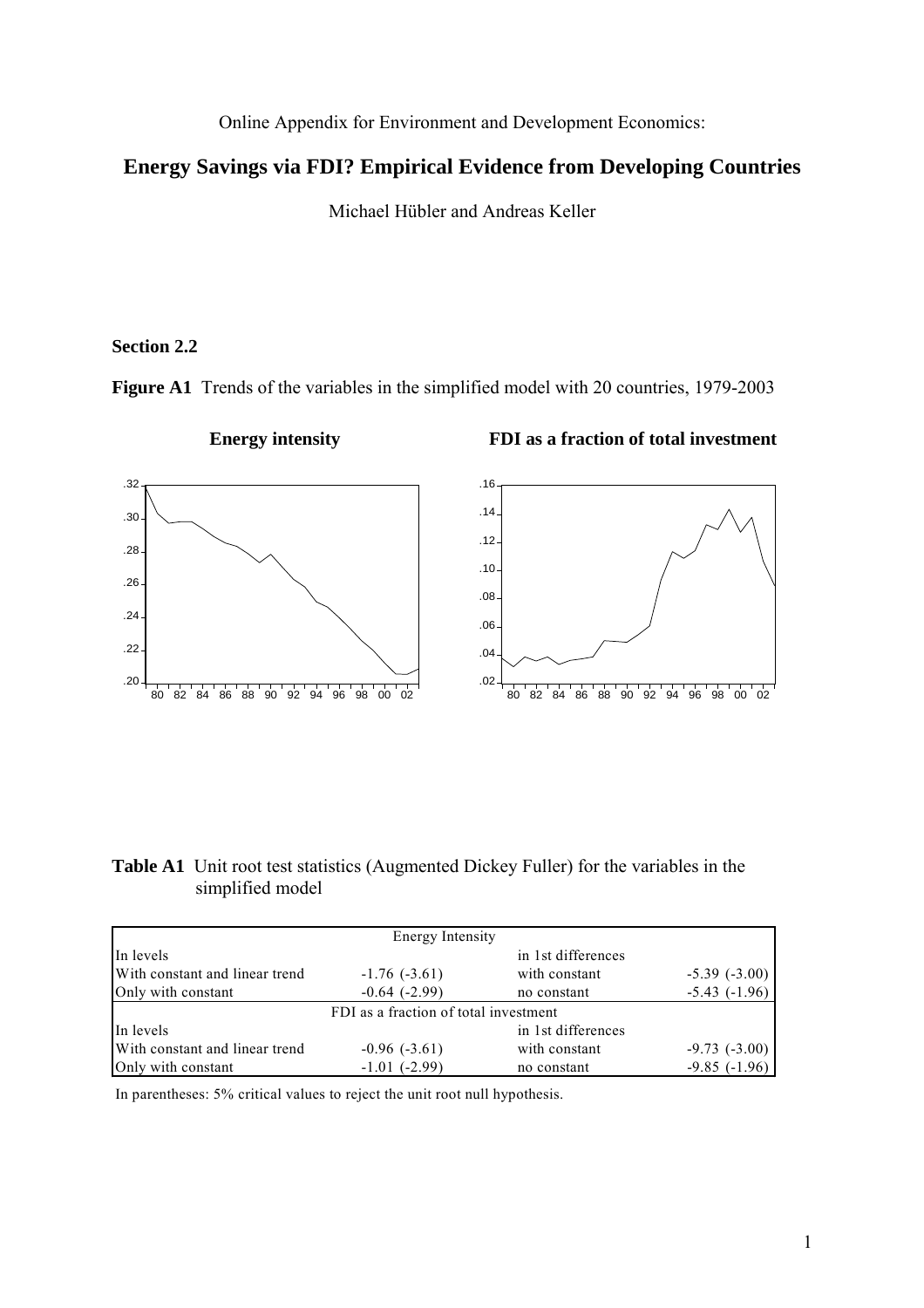Online Appendix for Environment and Development Economics:

# **Energy Savings via FDI? Empirical Evidence from Developing Countries**

Michael Hübler and Andreas Keller

### **Section 2.2**

**Figure A1** Trends of the variables in the simplified model with 20 countries, 1979-2003



### **Energy intensity FDI as a fraction of total investment**

**Table A1** Unit root test statistics (Augmented Dickey Fuller) for the variables in the simplified model

| Energy Intensity               |                                       |                    |                   |  |  |  |  |  |  |
|--------------------------------|---------------------------------------|--------------------|-------------------|--|--|--|--|--|--|
| In levels                      |                                       | in 1st differences |                   |  |  |  |  |  |  |
| With constant and linear trend | $-1.76(-3.61)$                        | with constant      | $-5.39(-3.00)$    |  |  |  |  |  |  |
| Only with constant             | $-0.64$ $(-2.99)$                     | no constant        | $-5.43$ $(-1.96)$ |  |  |  |  |  |  |
|                                | FDI as a fraction of total investment |                    |                   |  |  |  |  |  |  |
| In levels                      |                                       | in 1st differences |                   |  |  |  |  |  |  |
| With constant and linear trend | $-0.96(-3.61)$                        | with constant      | $-9.73$ $(-3.00)$ |  |  |  |  |  |  |
| Only with constant             | $-1.01$ ( $-2.99$ )                   | no constant        | $-9.85(-1.96)$    |  |  |  |  |  |  |

In parentheses: 5% critical values to reject the unit root null hypothesis.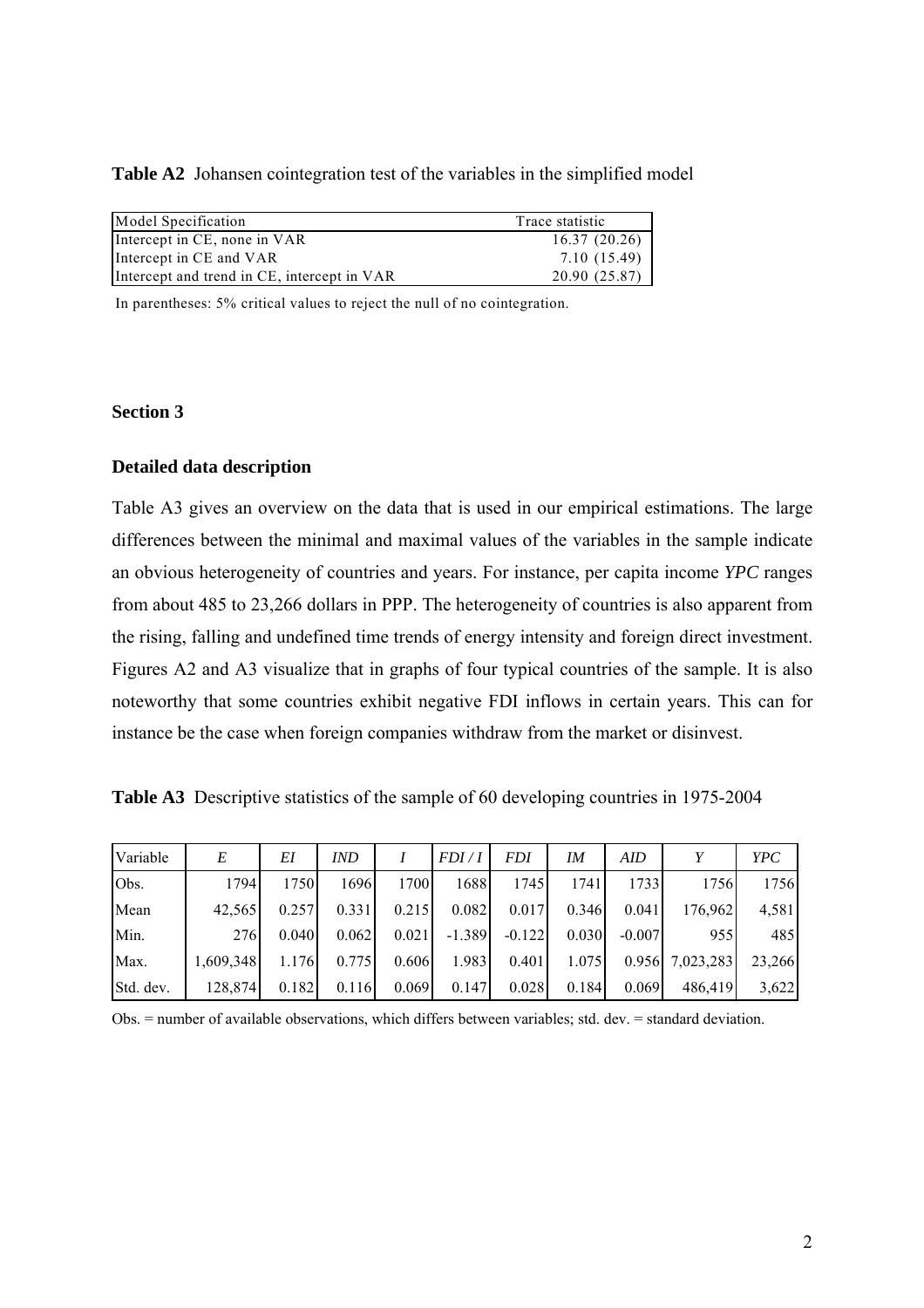**Table A2** Johansen cointegration test of the variables in the simplified model

| Model Specification                         | Trace statistic |
|---------------------------------------------|-----------------|
| Intercept in CE, none in VAR                | 16.37(20.26)    |
| Intercept in CE and VAR                     | 7.10 (15.49)    |
| Intercept and trend in CE, intercept in VAR | 20.90 (25.87)   |

In parentheses: 5% critical values to reject the null of no cointegration.

## **Section 3**

# **Detailed data description**

Table A3 gives an overview on the data that is used in our empirical estimations. The large differences between the minimal and maximal values of the variables in the sample indicate an obvious heterogeneity of countries and years. For instance, per capita income *YPC* ranges from about 485 to 23,266 dollars in PPP. The heterogeneity of countries is also apparent from the rising, falling and undefined time trends of energy intensity and foreign direct investment. Figures A2 and A3 visualize that in graphs of four typical countries of the sample. It is also noteworthy that some countries exhibit negative FDI inflows in certain years. This can for instance be the case when foreign companies withdraw from the market or disinvest.

|  | Table A3 Descriptive statistics of the sample of 60 developing countries in 1975-2004 |  |  |  |
|--|---------------------------------------------------------------------------------------|--|--|--|
|  |                                                                                       |  |  |  |

| Variable  | E         | EI    | IND   |       | FDI/I    | <b>FDI</b> | IM    | AID      | v         | <b>YPC</b> |
|-----------|-----------|-------|-------|-------|----------|------------|-------|----------|-----------|------------|
| Obs.      | 1794      | 1750  | 1696  | 1700  | 1688     | 1745       | 1741  | 1733     | 1756      | 1756       |
| Mean      | 42.565    | 0.257 | 0.331 | 0.215 | 0.082    | 0.017      | 0.346 | 0.041    | 176,962   | 4,581      |
| Min.      | 276       | 0.040 | 0.062 | 0.021 | $-1.389$ | $-0.122$   | 0.030 | $-0.007$ | 955       | 485        |
| Max.      | 1.609.348 | 1.176 | 0.775 | 0.606 | 1.983    | 0.401      | 1.075 | 0.956    | 7,023,283 | 23,266     |
| Std. dev. | 128,874   | 0.182 | 0.116 | 0.069 | 0.147    | 0.028      | 0.184 | 0.069    | 486,419   | 3,622      |

Obs. = number of available observations, which differs between variables; std. dev. = standard deviation.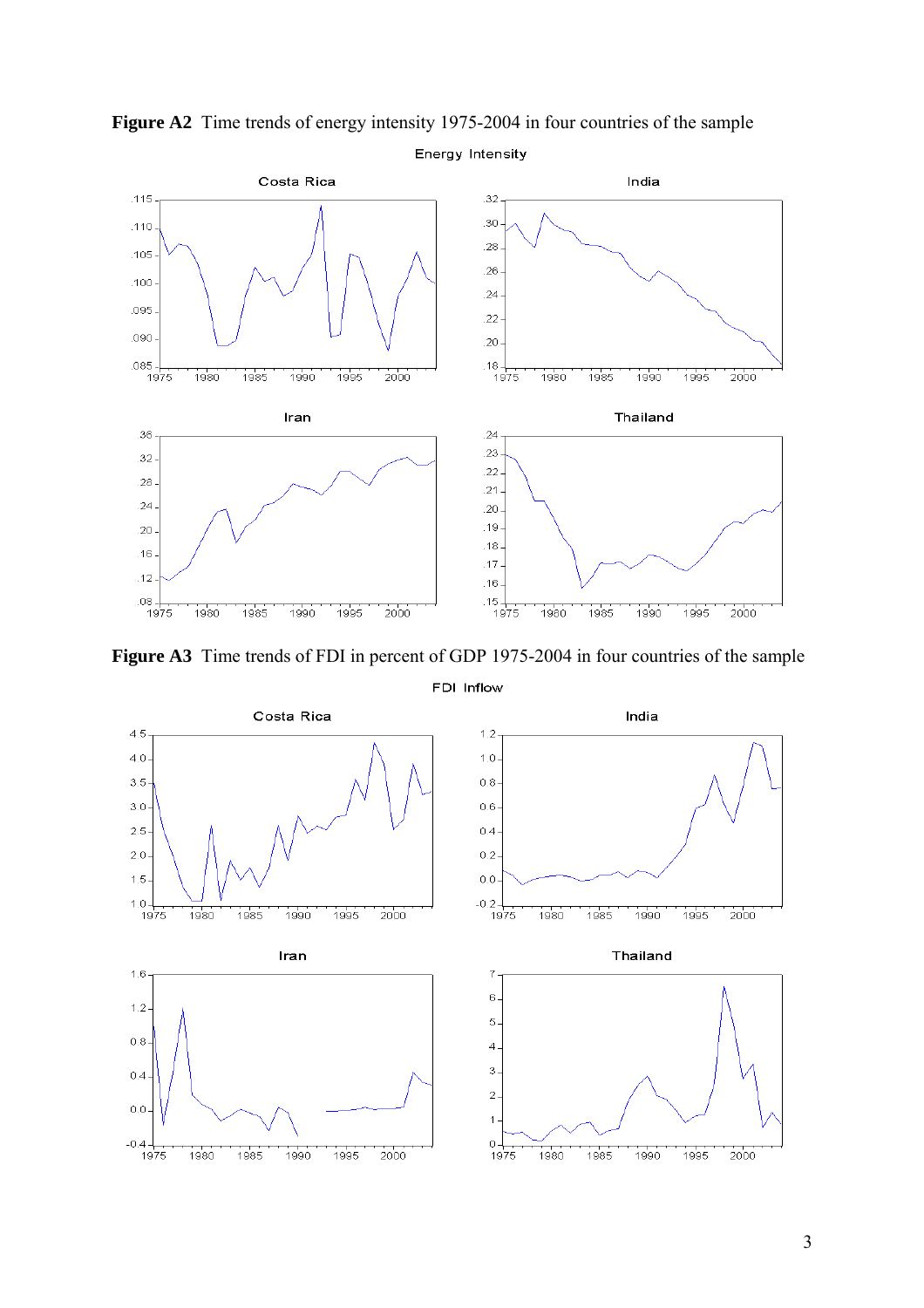

**Figure A2** Time trends of energy intensity 1975-2004 in four countries of the sample

**Figure A3** Time trends of FDI in percent of GDP 1975-2004 in four countries of the sample

FDI Inflow

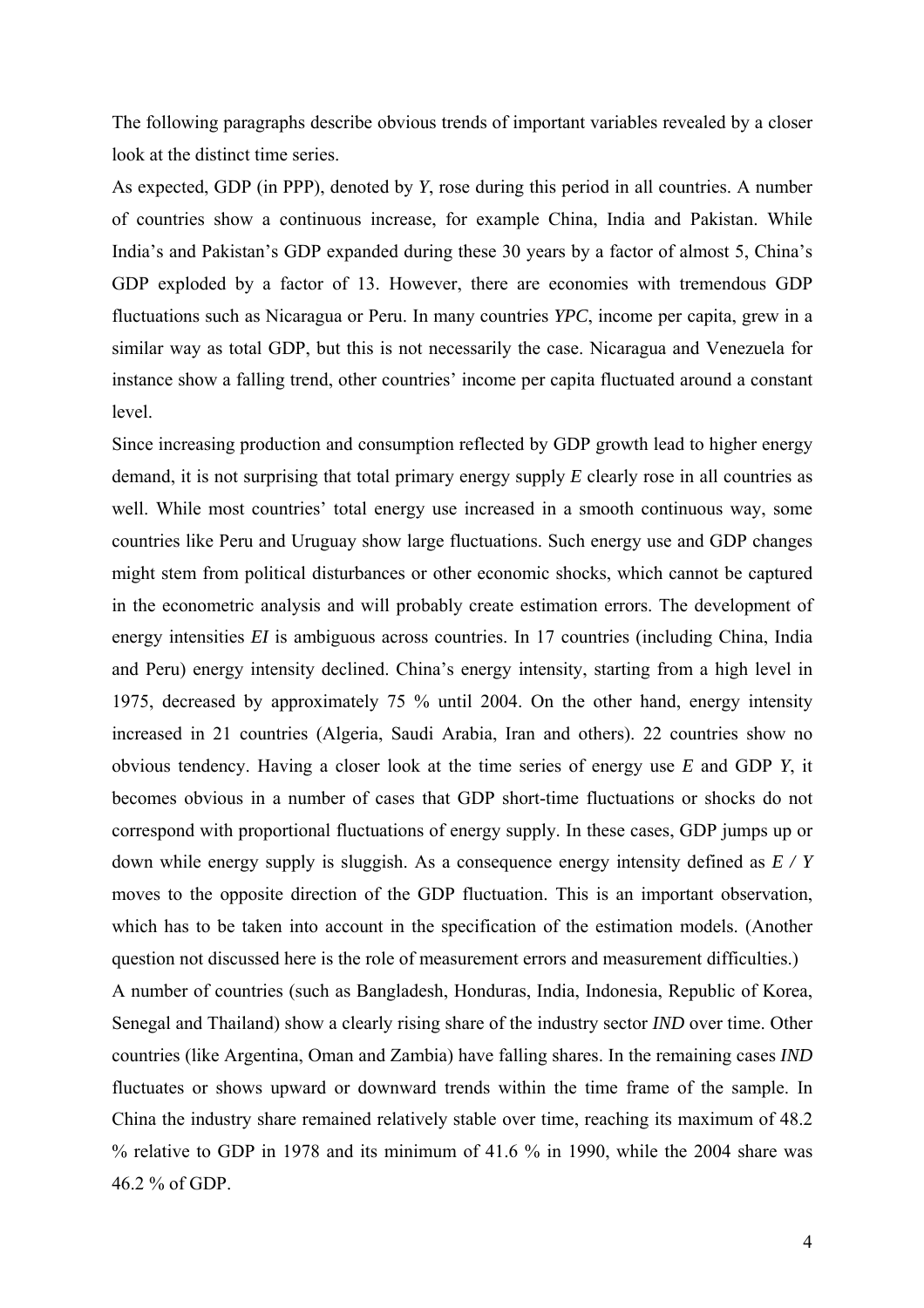The following paragraphs describe obvious trends of important variables revealed by a closer look at the distinct time series.

As expected, GDP (in PPP), denoted by *Y*, rose during this period in all countries. A number of countries show a continuous increase, for example China, India and Pakistan. While India's and Pakistan's GDP expanded during these 30 years by a factor of almost 5, China's GDP exploded by a factor of 13. However, there are economies with tremendous GDP fluctuations such as Nicaragua or Peru. In many countries *YPC*, income per capita, grew in a similar way as total GDP, but this is not necessarily the case. Nicaragua and Venezuela for instance show a falling trend, other countries' income per capita fluctuated around a constant level.

Since increasing production and consumption reflected by GDP growth lead to higher energy demand, it is not surprising that total primary energy supply *E* clearly rose in all countries as well. While most countries' total energy use increased in a smooth continuous way, some countries like Peru and Uruguay show large fluctuations. Such energy use and GDP changes might stem from political disturbances or other economic shocks, which cannot be captured in the econometric analysis and will probably create estimation errors. The development of energy intensities *EI* is ambiguous across countries. In 17 countries (including China, India and Peru) energy intensity declined. China's energy intensity, starting from a high level in 1975, decreased by approximately 75 % until 2004. On the other hand, energy intensity increased in 21 countries (Algeria, Saudi Arabia, Iran and others). 22 countries show no obvious tendency. Having a closer look at the time series of energy use *E* and GDP *Y*, it becomes obvious in a number of cases that GDP short-time fluctuations or shocks do not correspond with proportional fluctuations of energy supply. In these cases, GDP jumps up or down while energy supply is sluggish. As a consequence energy intensity defined as *E / Y* moves to the opposite direction of the GDP fluctuation. This is an important observation, which has to be taken into account in the specification of the estimation models. (Another question not discussed here is the role of measurement errors and measurement difficulties.) A number of countries (such as Bangladesh, Honduras, India, Indonesia, Republic of Korea, Senegal and Thailand) show a clearly rising share of the industry sector *IND* over time. Other countries (like Argentina, Oman and Zambia) have falling shares. In the remaining cases *IND* fluctuates or shows upward or downward trends within the time frame of the sample. In China the industry share remained relatively stable over time, reaching its maximum of 48.2 % relative to GDP in 1978 and its minimum of 41.6 % in 1990, while the 2004 share was 46.2 % of GDP.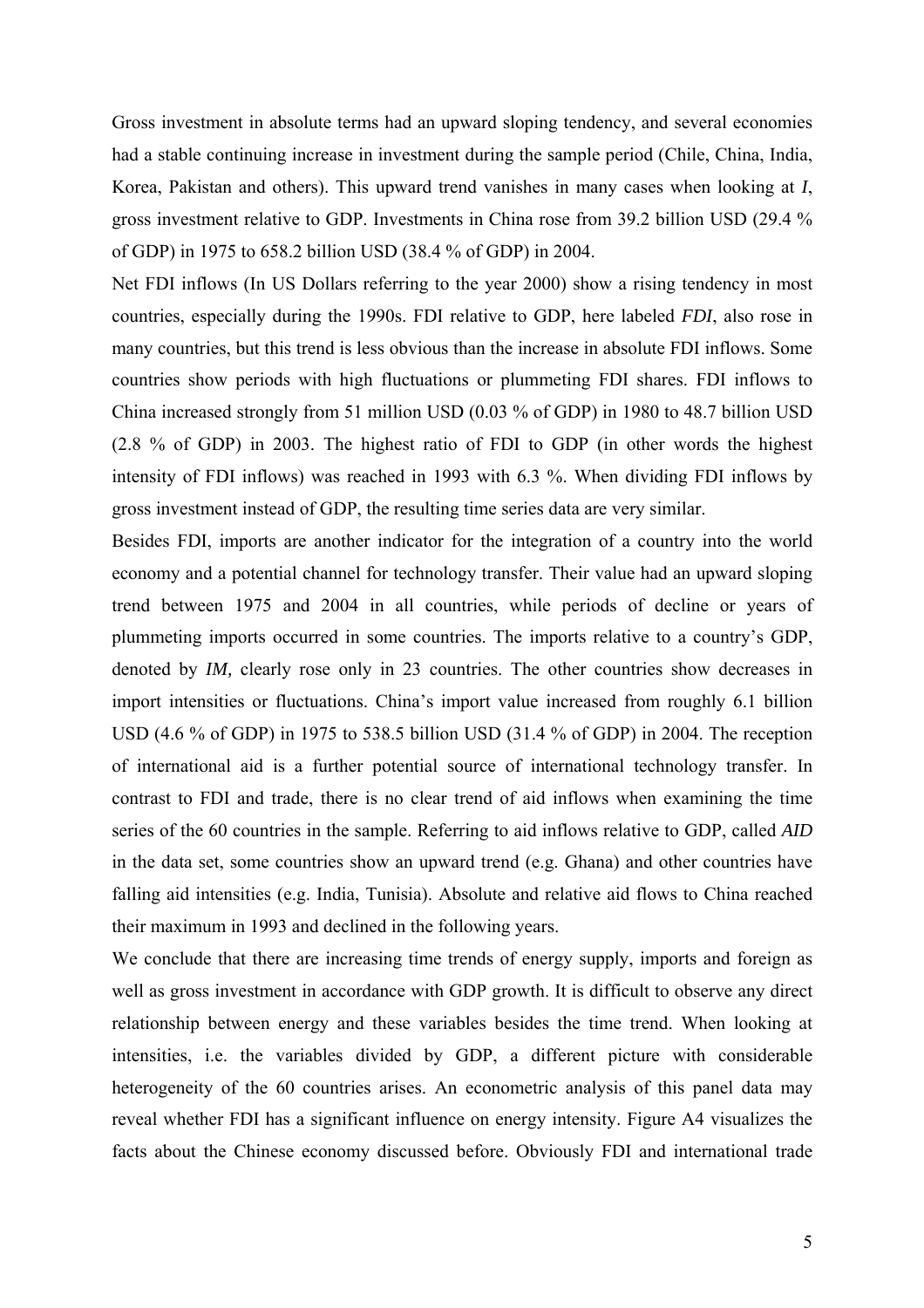Gross investment in absolute terms had an upward sloping tendency, and several economies had a stable continuing increase in investment during the sample period (Chile, China, India, Korea, Pakistan and others). This upward trend vanishes in many cases when looking at *I*, gross investment relative to GDP. Investments in China rose from 39.2 billion USD (29.4 % of GDP) in 1975 to 658.2 billion USD (38.4 % of GDP) in 2004.

Net FDI inflows (In US Dollars referring to the year 2000) show a rising tendency in most countries, especially during the 1990s. FDI relative to GDP, here labeled *FDI*, also rose in many countries, but this trend is less obvious than the increase in absolute FDI inflows. Some countries show periods with high fluctuations or plummeting FDI shares. FDI inflows to China increased strongly from 51 million USD (0.03 % of GDP) in 1980 to 48.7 billion USD (2.8 % of GDP) in 2003. The highest ratio of FDI to GDP (in other words the highest intensity of FDI inflows) was reached in 1993 with 6.3 %. When dividing FDI inflows by gross investment instead of GDP, the resulting time series data are very similar.

Besides FDI, imports are another indicator for the integration of a country into the world economy and a potential channel for technology transfer. Their value had an upward sloping trend between 1975 and 2004 in all countries, while periods of decline or years of plummeting imports occurred in some countries. The imports relative to a country's GDP, denoted by *IM,* clearly rose only in 23 countries. The other countries show decreases in import intensities or fluctuations. China's import value increased from roughly 6.1 billion USD (4.6 % of GDP) in 1975 to 538.5 billion USD (31.4 % of GDP) in 2004. The reception of international aid is a further potential source of international technology transfer. In contrast to FDI and trade, there is no clear trend of aid inflows when examining the time series of the 60 countries in the sample. Referring to aid inflows relative to GDP, called *AID* in the data set, some countries show an upward trend (e.g. Ghana) and other countries have falling aid intensities (e.g. India, Tunisia). Absolute and relative aid flows to China reached their maximum in 1993 and declined in the following years.

We conclude that there are increasing time trends of energy supply, imports and foreign as well as gross investment in accordance with GDP growth. It is difficult to observe any direct relationship between energy and these variables besides the time trend. When looking at intensities, i.e. the variables divided by GDP, a different picture with considerable heterogeneity of the 60 countries arises. An econometric analysis of this panel data may reveal whether FDI has a significant influence on energy intensity. Figure A4 visualizes the facts about the Chinese economy discussed before. Obviously FDI and international trade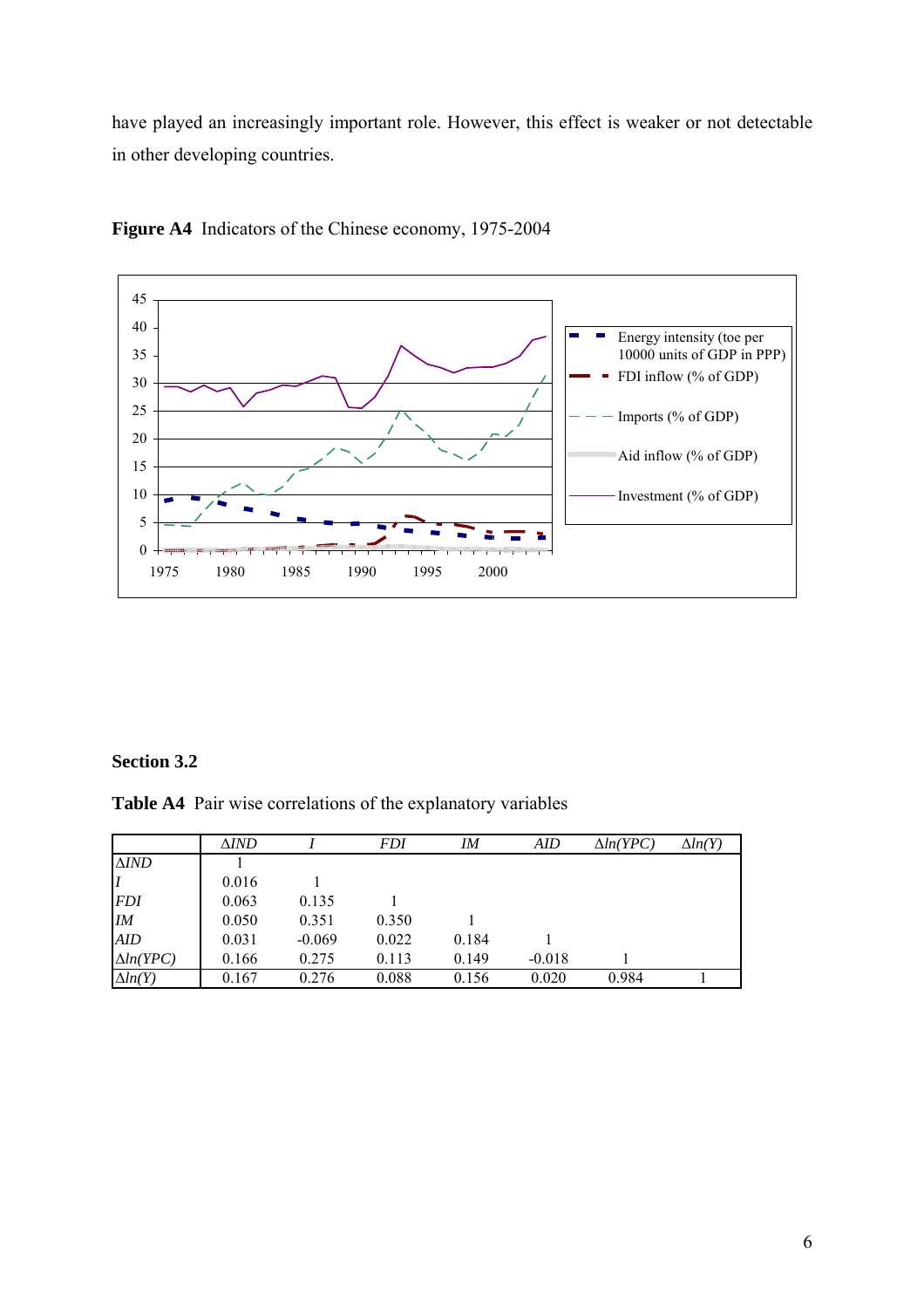have played an increasingly important role. However, this effect is weaker or not detectable in other developing countries.



**Figure A4** Indicators of the Chinese economy, 1975-2004

## **Section 3.2**

**Table A4** Pair wise correlations of the explanatory variables

|                  | $\Delta IND$ |          | <i>FDI</i> | ΙM    | AID      | $\Delta ln(YPC)$ | $\Delta ln(Y)$ |
|------------------|--------------|----------|------------|-------|----------|------------------|----------------|
| $\triangle IND$  |              |          |            |       |          |                  |                |
|                  | 0.016        |          |            |       |          |                  |                |
| <b>FDI</b>       | 0.063        | 0.135    |            |       |          |                  |                |
| IM               | 0.050        | 0.351    | 0.350      |       |          |                  |                |
| <b>AID</b>       | 0.031        | $-0.069$ | 0.022      | 0.184 |          |                  |                |
| $\Delta ln(YPC)$ | 0.166        | 0.275    | 0.113      | 0.149 | $-0.018$ |                  |                |
| $\Delta ln(Y)$   | 0.167        | 0.276    | 0.088      | 0.156 | 0.020    | 0.984            |                |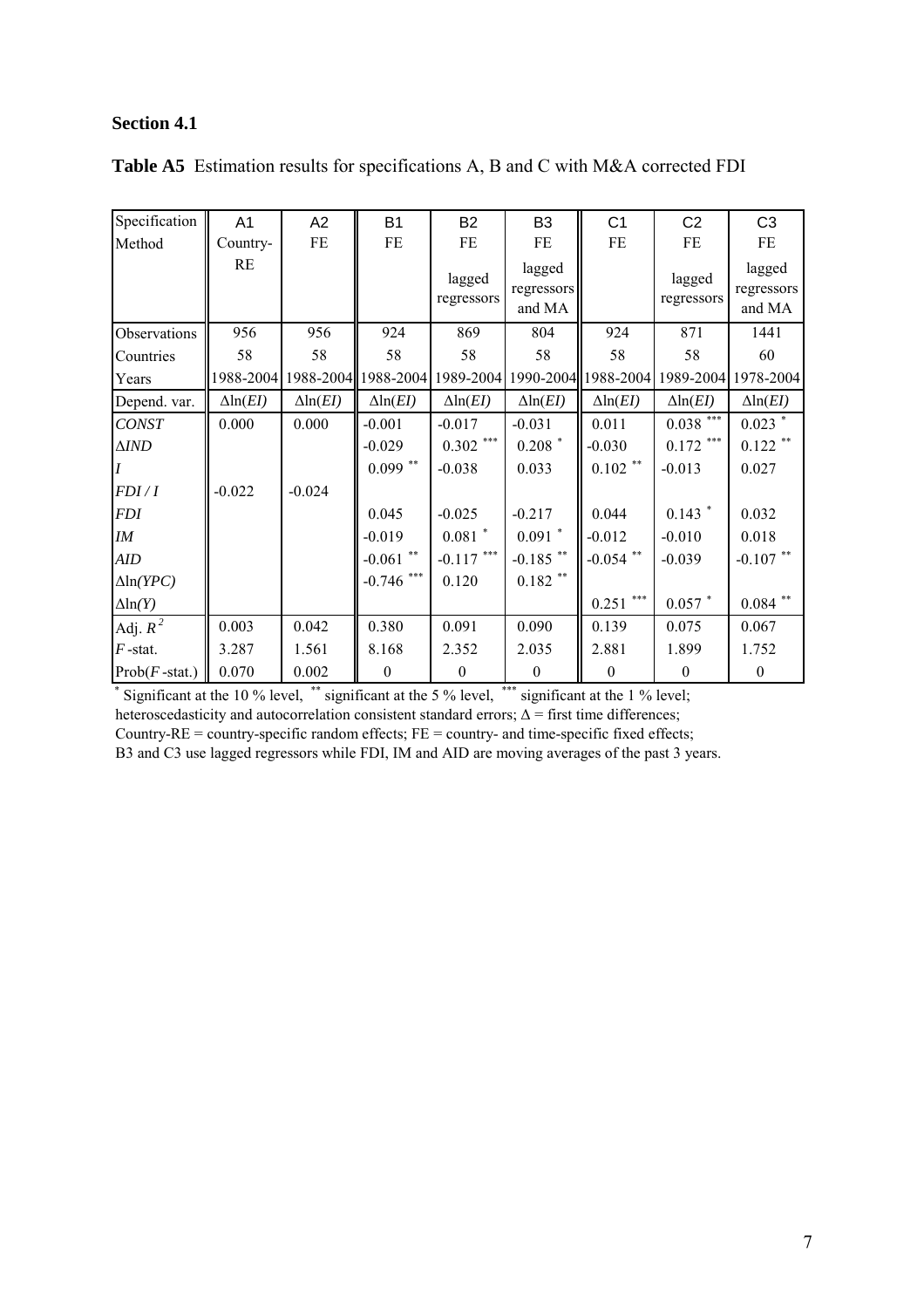# **Section 4.1**

| Specification         | A <sub>1</sub>           | A2                       | <b>B1</b>                | <b>B2</b>                     | B <sub>3</sub>                 | C <sub>1</sub>           | C <sub>2</sub>           | C <sub>3</sub>                 |
|-----------------------|--------------------------|--------------------------|--------------------------|-------------------------------|--------------------------------|--------------------------|--------------------------|--------------------------------|
| Method                | Country-                 | FE                       | FE                       | FE                            | FE                             | FE                       | FE                       | FE                             |
|                       | RE                       |                          |                          | lagged<br>regressors          | lagged<br>regressors<br>and MA |                          | lagged<br>regressors     | lagged<br>regressors<br>and MA |
| Observations          | 956                      | 956                      | 924                      | 869                           | 804                            | 924                      | 871                      | 1441                           |
| Countries             | 58                       | 58                       | 58                       | 58                            | 58                             | 58                       | 58                       | 60                             |
| Years                 | 1988-2004                |                          |                          | 1988-2004 1988-2004 1989-2004 |                                | 1990-2004 1988-2004      | 1989-2004                | 1978-2004                      |
| Depend. var.          | $\Delta$ ln( <i>EI</i> ) | $\Delta$ ln( <i>EI</i> ) | $\Delta$ ln( <i>EI</i> ) | $\Delta$ ln( <i>EI</i> )      | $\Delta$ ln( <i>EI</i> )       | $\Delta$ ln( <i>EI</i> ) | $\Delta$ ln( <i>EI</i> ) | $\Delta$ ln( <i>EI</i> )       |
| <b>CONST</b>          | 0.000                    | 0.000                    | $-0.001$                 | $-0.017$                      | $-0.031$                       | 0.011                    | $0.038$ ***              | $0.023$ *                      |
| $\Delta \textit{IND}$ |                          |                          | $-0.029$                 | $0.302$ ***                   | $0.208$ *                      | $-0.030$                 | $0.172$ ***              | $0.122$ **                     |
|                       |                          |                          | $0.099$ **               | $-0.038$                      | 0.033                          | $0.102$ **               | $-0.013$                 | 0.027                          |
| FDI/I                 | $-0.022$                 | $-0.024$                 |                          |                               |                                |                          |                          |                                |
| <b>FDI</b>            |                          |                          | 0.045                    | $-0.025$                      | $-0.217$                       | 0.044                    | $0.143$ *                | 0.032                          |
| IM                    |                          |                          | $-0.019$                 | $0.081$ *                     | $0.091$ *                      | $-0.012$                 | $-0.010$                 | 0.018                          |
| <b>AID</b>            |                          |                          | -0.061 $^{\ast\ast}$     | $-0.117$ ***                  | $-0.185$ **                    | $-0.054$ **              | $-0.039$                 | $-0.107$ **                    |
| $\Delta$ ln(YPC)      |                          |                          | $-0.746$ ***             | 0.120                         | $0.182$ **                     |                          |                          |                                |
| $\Delta$ ln(Y)        |                          |                          |                          |                               |                                | $***$<br>0.251           | $0.057$ *                | $0.084$ $^{\ast\ast}$          |
| Adj. $R^2$            | 0.003                    | 0.042                    | 0.380                    | 0.091                         | 0.090                          | 0.139                    | 0.075                    | 0.067                          |
| $F$ -stat.            | 3.287                    | 1.561                    | 8.168                    | 2.352                         | 2.035                          | 2.881                    | 1.899                    | 1.752                          |
| $Prob(F - stat.)$     | 0.070                    | 0.002                    | $\mathbf{0}$             | $\boldsymbol{0}$              | $\boldsymbol{0}$               | $\boldsymbol{0}$         | $\boldsymbol{0}$         | $\boldsymbol{0}$               |

|  |  |  | <b>Table A5</b> Estimation results for specifications A, B and C with M&A corrected FDI |  |  |  |  |
|--|--|--|-----------------------------------------------------------------------------------------|--|--|--|--|
|--|--|--|-----------------------------------------------------------------------------------------|--|--|--|--|

\* Significant at the 10 % level, \*\* significant at the 5 % level, \*\*\* significant at the 1 % level; heteroscedasticity and autocorrelation consistent standard errors;  $\Delta$  = first time differences; Country-RE = country-specific random effects; FE = country- and time-specific fixed effects; B3 and C3 use lagged regressors while FDI, IM and AID are moving averages of the past 3 years.